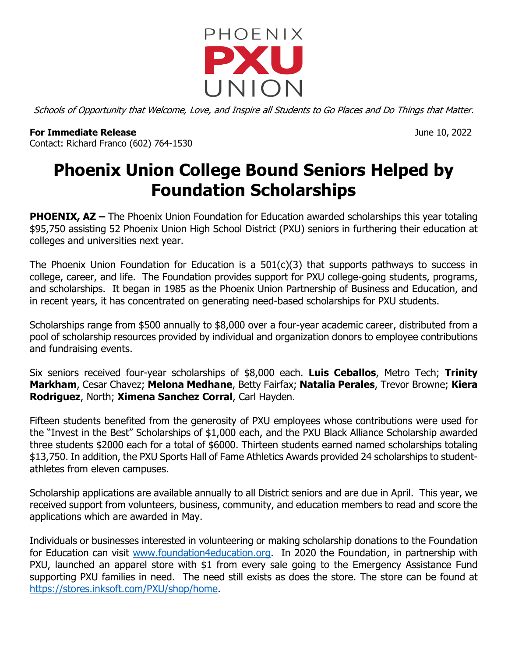

Schools of Opportunity that Welcome, Love, and Inspire all Students to Go Places and Do Things that Matter.

**For Immediate Release** June 10, 2022 Contact: Richard Franco (602) 764-1530

## **Phoenix Union College Bound Seniors Helped by Foundation Scholarships**

**PHOENIX, AZ** – The Phoenix Union Foundation for Education awarded scholarships this year totaling \$95,750 assisting 52 Phoenix Union High School District (PXU) seniors in furthering their education at colleges and universities next year.

The Phoenix Union Foundation for Education is a  $501(c)(3)$  that supports pathways to success in college, career, and life. The Foundation provides support for PXU college-going students, programs, and scholarships. It began in 1985 as the Phoenix Union Partnership of Business and Education, and in recent years, it has concentrated on generating need-based scholarships for PXU students.

Scholarships range from \$500 annually to \$8,000 over a four-year academic career, distributed from a pool of scholarship resources provided by individual and organization donors to employee contributions and fundraising events.

Six seniors received four-year scholarships of \$8,000 each. **Luis Ceballos**, Metro Tech; **Trinity Markham**, Cesar Chavez; **Melona Medhane**, Betty Fairfax; **Natalia Perales**, Trevor Browne; **Kiera Rodriguez**, North; **Ximena Sanchez Corral**, Carl Hayden.

Fifteen students benefited from the generosity of PXU employees whose contributions were used for the "Invest in the Best" Scholarships of \$1,000 each, and the PXU Black Alliance Scholarship awarded three students \$2000 each for a total of \$6000. Thirteen students earned named scholarships totaling \$13,750. In addition, the PXU Sports Hall of Fame Athletics Awards provided 24 scholarships to studentathletes from eleven campuses.

Scholarship applications are available annually to all District seniors and are due in April. This year, we received support from volunteers, business, community, and education members to read and score the applications which are awarded in May.

Individuals or businesses interested in volunteering or making scholarship donations to the Foundation for Education can visit www.foundation4education.org. In 2020 the Foundation, in partnership with PXU, launched an apparel store with \$1 from every sale going to the Emergency Assistance Fund supporting PXU families in need. The need still exists as does the store. The store can be found at https://stores.inksoft.com/PXU/shop/home.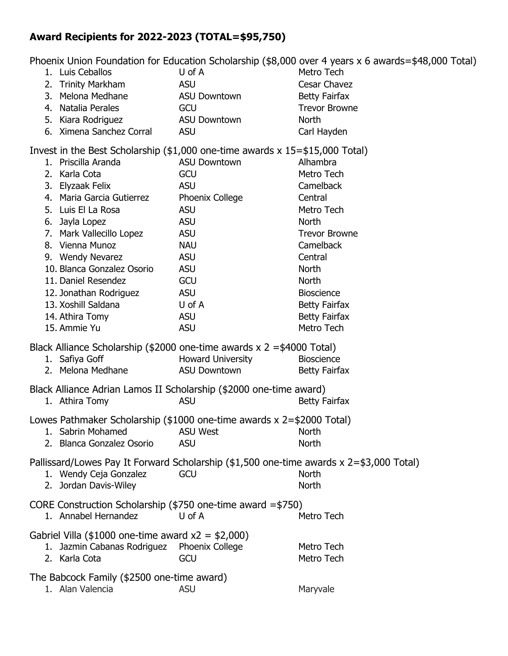## **Award Recipients for 2022-2023 (TOTAL=\$95,750)**

Phoenix Union Foundation for Education Scholarship (\$8,000 over 4 years x 6 awards=\$48,000 Total)

|                                                                                                                                        |  | 1. Luis Ceballos                                                      | U of A                   | Metro Tech                                                                              |
|----------------------------------------------------------------------------------------------------------------------------------------|--|-----------------------------------------------------------------------|--------------------------|-----------------------------------------------------------------------------------------|
|                                                                                                                                        |  | 2. Trinity Markham                                                    | <b>ASU</b>               | Cesar Chavez                                                                            |
|                                                                                                                                        |  | 3. Melona Medhane                                                     | <b>ASU Downtown</b>      | <b>Betty Fairfax</b>                                                                    |
|                                                                                                                                        |  | 4. Natalia Perales                                                    | GCU                      | <b>Trevor Browne</b>                                                                    |
|                                                                                                                                        |  | 5. Kiara Rodriguez                                                    | <b>ASU Downtown</b>      | North                                                                                   |
|                                                                                                                                        |  | 6. Ximena Sanchez Corral ASU                                          |                          | Carl Hayden                                                                             |
|                                                                                                                                        |  |                                                                       |                          |                                                                                         |
| Invest in the Best Scholarship (\$1,000 one-time awards x 15=\$15,000 Total)<br>1. Priscilla Aranda<br><b>ASU Downtown</b><br>Alhambra |  |                                                                       |                          |                                                                                         |
|                                                                                                                                        |  | 2. Karla Cota                                                         | GCU                      | Metro Tech                                                                              |
|                                                                                                                                        |  | 3. Elyzaak Felix                                                      | <b>ASU</b>               | Camelback                                                                               |
|                                                                                                                                        |  | 4. Maria Garcia Gutierrez                                             | Phoenix College          | Central                                                                                 |
|                                                                                                                                        |  | 5. Luis El La Rosa                                                    | <b>ASU</b>               | Metro Tech                                                                              |
|                                                                                                                                        |  | 6. Jayla Lopez                                                        | <b>ASU</b>               | North                                                                                   |
|                                                                                                                                        |  |                                                                       | <b>ASU</b>               | <b>Trevor Browne</b>                                                                    |
|                                                                                                                                        |  | 7. Mark Vallecillo Lopez<br>8. Vienna Munoz                           | <b>NAU</b>               | Camelback                                                                               |
|                                                                                                                                        |  | 9. Wendy Nevarez                                                      | <b>ASU</b>               | Central                                                                                 |
|                                                                                                                                        |  | 10. Blanca Gonzalez Osorio                                            | <b>ASU</b>               | <b>North</b>                                                                            |
|                                                                                                                                        |  | 11. Daniel Resendez                                                   | GCU                      | <b>North</b>                                                                            |
|                                                                                                                                        |  | 12. Jonathan Rodriguez                                                | <b>ASU</b>               | <b>Bioscience</b>                                                                       |
|                                                                                                                                        |  | 13. Xoshill Saldana                                                   | U of A                   | <b>Betty Fairfax</b>                                                                    |
|                                                                                                                                        |  | 14. Athira Tomy                                                       | <b>ASU</b>               | <b>Betty Fairfax</b>                                                                    |
|                                                                                                                                        |  | 15. Ammie Yu                                                          | <b>ASU</b>               | Metro Tech                                                                              |
|                                                                                                                                        |  |                                                                       |                          |                                                                                         |
|                                                                                                                                        |  | Black Alliance Scholarship (\$2000 one-time awards x 2 =\$4000 Total) |                          |                                                                                         |
|                                                                                                                                        |  | 1. Safiya Goff                                                        | <b>Howard University</b> | <b>Bioscience</b>                                                                       |
|                                                                                                                                        |  | 2. Melona Medhane                                                     | <b>ASU Downtown</b>      | <b>Betty Fairfax</b>                                                                    |
| Black Alliance Adrian Lamos II Scholarship (\$2000 one-time award)                                                                     |  |                                                                       |                          |                                                                                         |
|                                                                                                                                        |  | 1. Athira Tomy                                                        | <b>ASU</b>               | <b>Betty Fairfax</b>                                                                    |
| Lowes Pathmaker Scholarship (\$1000 one-time awards x 2=\$2000 Total)                                                                  |  |                                                                       |                          |                                                                                         |
|                                                                                                                                        |  | 1. Sabrin Mohamed                                                     | <b>ASU West</b>          | <b>North</b>                                                                            |
|                                                                                                                                        |  | 2. Blanca Gonzalez Osorio                                             | <b>ASU</b>               | <b>North</b>                                                                            |
|                                                                                                                                        |  |                                                                       |                          | Pallissard/Lowes Pay It Forward Scholarship (\$1,500 one-time awards x 2=\$3,000 Total) |
|                                                                                                                                        |  | 1. Wendy Ceja Gonzalez                                                | GCU                      | <b>North</b>                                                                            |
|                                                                                                                                        |  | 2. Jordan Davis-Wiley                                                 |                          | <b>North</b>                                                                            |
|                                                                                                                                        |  |                                                                       |                          |                                                                                         |
|                                                                                                                                        |  | CORE Construction Scholarship (\$750 one-time award =\$750)           |                          |                                                                                         |
|                                                                                                                                        |  | 1. Annabel Hernandez                                                  | U of A                   | Metro Tech                                                                              |
| Gabriel Villa (\$1000 one-time award $x2 = $2,000$ )                                                                                   |  |                                                                       |                          |                                                                                         |
|                                                                                                                                        |  | 1. Jazmin Cabanas Rodriguez                                           | Phoenix College          | Metro Tech                                                                              |
|                                                                                                                                        |  | 2. Karla Cota                                                         | GCU                      | Metro Tech                                                                              |
| The Babcock Family (\$2500 one-time award)                                                                                             |  |                                                                       |                          |                                                                                         |
|                                                                                                                                        |  | 1. Alan Valencia                                                      | <b>ASU</b>               | Maryvale                                                                                |
|                                                                                                                                        |  |                                                                       |                          |                                                                                         |